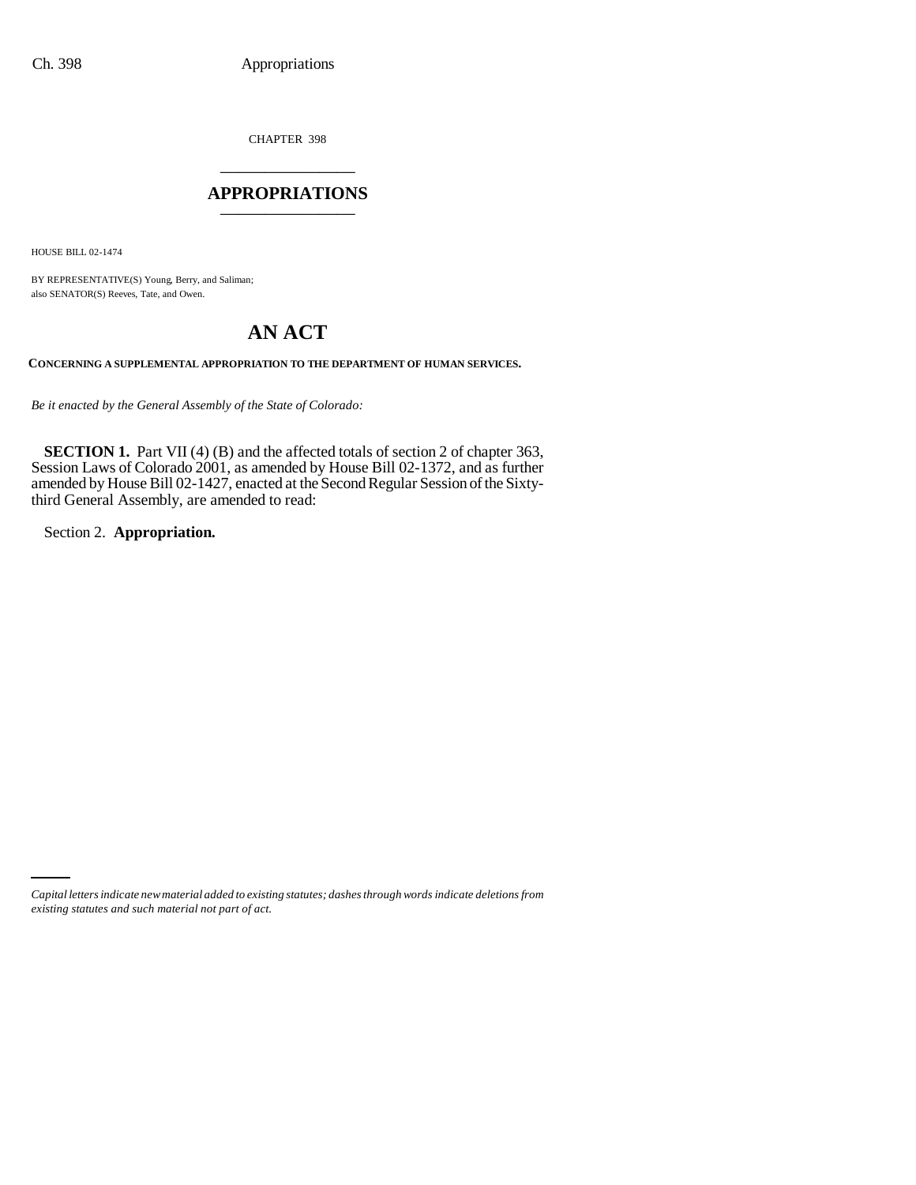CHAPTER 398 \_\_\_\_\_\_\_\_\_\_\_\_\_\_\_

### **APPROPRIATIONS** \_\_\_\_\_\_\_\_\_\_\_\_\_\_\_

HOUSE BILL 02-1474

BY REPRESENTATIVE(S) Young, Berry, and Saliman; also SENATOR(S) Reeves, Tate, and Owen.

# **AN ACT**

**CONCERNING A SUPPLEMENTAL APPROPRIATION TO THE DEPARTMENT OF HUMAN SERVICES.**

*Be it enacted by the General Assembly of the State of Colorado:*

**SECTION 1.** Part VII (4) (B) and the affected totals of section 2 of chapter 363, Session Laws of Colorado 2001, as amended by House Bill 02-1372, and as further amended by House Bill 02-1427, enacted at the Second Regular Session of the Sixtythird General Assembly, are amended to read:

Section 2. **Appropriation.**

*Capital letters indicate new material added to existing statutes; dashes through words indicate deletions from existing statutes and such material not part of act.*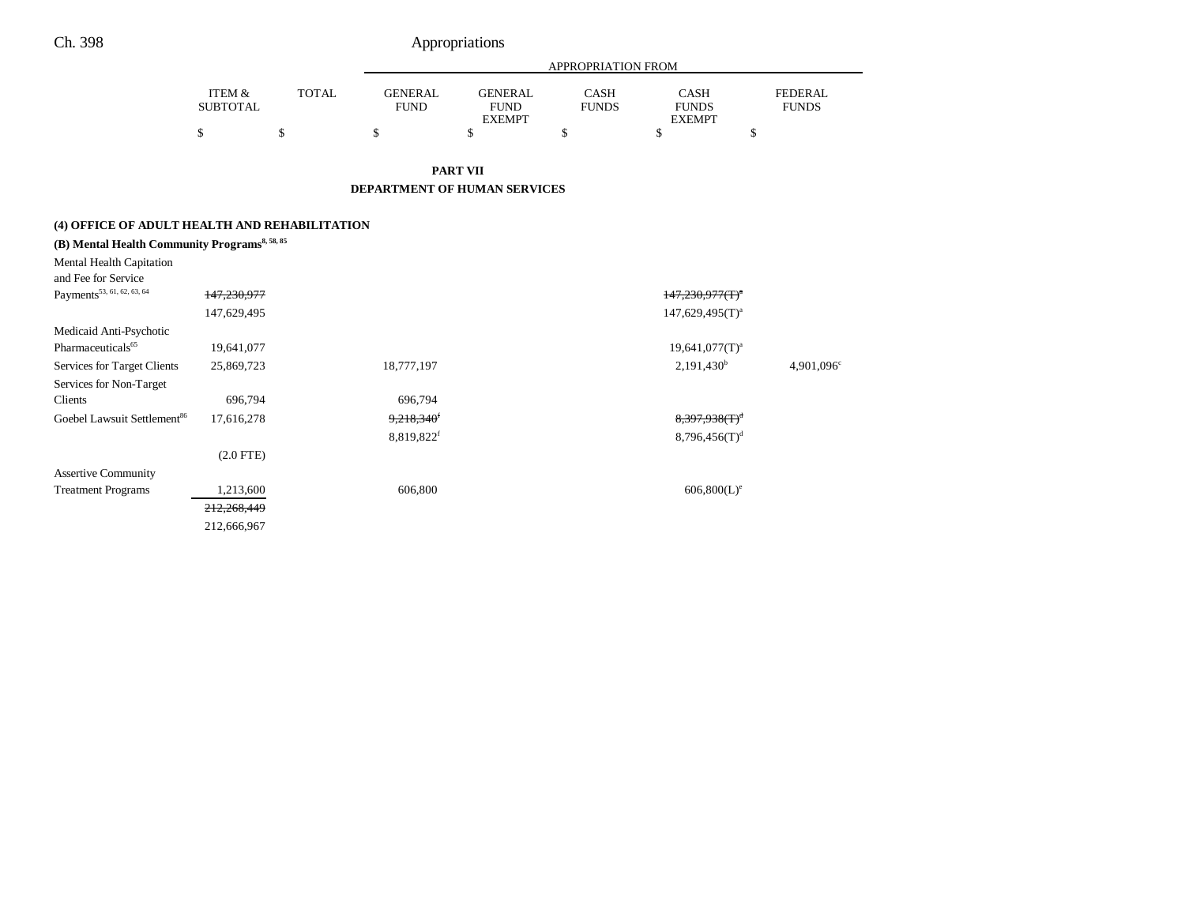## Ch. 398 Appropriations

|                           |              | APPROPRIATION FROM            |                               |                      |                      |                                |
|---------------------------|--------------|-------------------------------|-------------------------------|----------------------|----------------------|--------------------------------|
| ITEM &<br><b>SUBTOTAL</b> | <b>TOTAL</b> | <b>GENERAL</b><br><b>FUND</b> | <b>GENERAL</b><br><b>FUND</b> | CASH<br><b>FUNDS</b> | CASH<br><b>FUNDS</b> | <b>FEDERAL</b><br><b>FUNDS</b> |
|                           |              |                               | <b>EXEMPT</b>                 |                      | <b>EXEMPT</b>        |                                |
|                           |              |                               |                               |                      |                      |                                |

**PART VII**

**DEPARTMENT OF HUMAN SERVICES**

### **(4) OFFICE OF ADULT HEALTH AND REHABILITATION**

| (B) Mental Health Community Programs <sup>8, 58, 85</sup> |             |                          |                           |                     |
|-----------------------------------------------------------|-------------|--------------------------|---------------------------|---------------------|
| Mental Health Capitation                                  |             |                          |                           |                     |
| and Fee for Service                                       |             |                          |                           |                     |
| Payments <sup>53, 61, 62, 63, 64</sup>                    | 147,230,977 |                          | $147,230,977(T)^4$        |                     |
|                                                           | 147,629,495 |                          | $147,629,495(T)^{a}$      |                     |
| Medicaid Anti-Psychotic                                   |             |                          |                           |                     |
| Pharmaceuticals <sup>65</sup>                             | 19,641,077  |                          | $19,641,077(T)^a$         |                     |
| Services for Target Clients                               | 25,869,723  | 18,777,197               | $2,191,430^b$             | $4,901,096^{\circ}$ |
| Services for Non-Target                                   |             |                          |                           |                     |
| Clients                                                   | 696,794     | 696,794                  |                           |                     |
| Goebel Lawsuit Settlement <sup>86</sup>                   | 17,616,278  | $9,218,340$ <sup>f</sup> | $8,397,938(T)^d$          |                     |
|                                                           |             | 8,819,822f               | 8,796,456(T) <sup>d</sup> |                     |
|                                                           | $(2.0$ FTE) |                          |                           |                     |
| <b>Assertive Community</b>                                |             |                          |                           |                     |
| <b>Treatment Programs</b>                                 | 1,213,600   | 606,800                  | $606,800(L)^e$            |                     |
|                                                           | 212,268,449 |                          |                           |                     |
|                                                           | 212,666,967 |                          |                           |                     |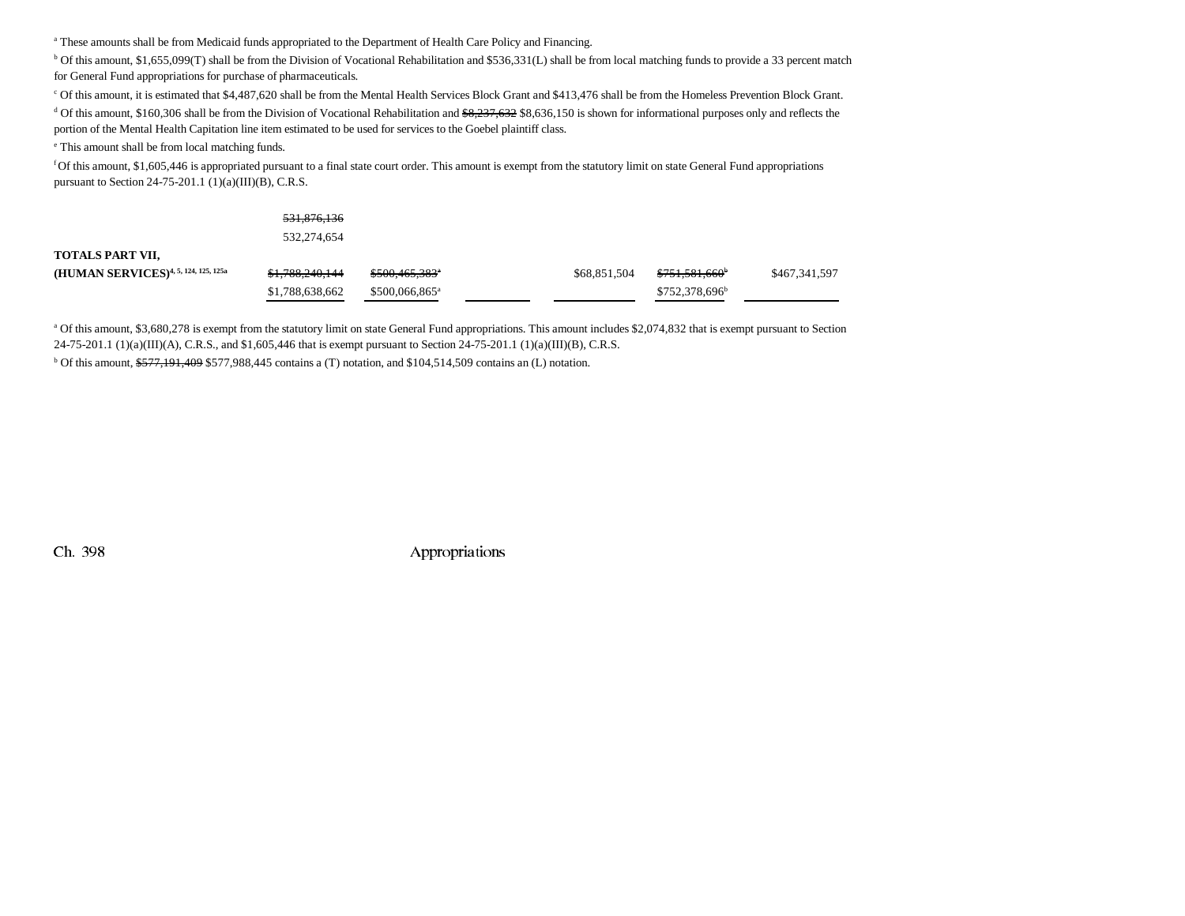<sup>a</sup> These amounts shall be from Medicaid funds appropriated to the Department of Health Care Policy and Financing.

<sup>b</sup> Of this amount, \$1,655,099(T) shall be from the Division of Vocational Rehabilitation and \$536,331(L) shall be from local matching funds to provide a 33 percent match for General Fund appropriations for purchase of pharmaceuticals.

c Of this amount, it is estimated that \$4,487,620 shall be from the Mental Health Services Block Grant and \$413,476 shall be from the Homeless Prevention Block Grant.

<sup>d</sup> Of this amount, \$160,306 shall be from the Division of Vocational Rehabilitation and  $\frac{68,237,632}{8,636,150}$  is shown for informational purposes only and reflects the portion of the Mental Health Capitation line item estimated to be used for services to the Goebel plaintiff class.

e This amount shall be from local matching funds.

f Of this amount, \$1,605,446 is appropriated pursuant to a final state court order. This amount is exempt from the statutory limit on state General Fund appropriations pursuant to Section 24-75-201.1 (1)(a)(III)(B), C.R.S.

|                                                  | <del>531,876,136</del>     |                             |              |                            |               |
|--------------------------------------------------|----------------------------|-----------------------------|--------------|----------------------------|---------------|
|                                                  | 532,274,654                |                             |              |                            |               |
| TOTALS PART VII.                                 |                            |                             |              |                            |               |
| (HUMAN SERVICES) <sup>4, 5, 124, 125, 125a</sup> | <del>\$1,788,240,144</del> | $$500,465,383$ <sup>*</sup> | \$68,851,504 | <del>\$751,581,660</del>   | \$467,341,597 |
|                                                  | \$1,788,638,662            | \$500,066,865 <sup>a</sup>  |              | \$752,378,696 <sup>b</sup> |               |

<sup>a</sup> Of this amount, \$3,680,278 is exempt from the statutory limit on state General Fund appropriations. This amount includes \$2,074,832 that is exempt pursuant to Section 24-75-201.1 (1)(a)(III)(A), C.R.S., and \$1,605,446 that is exempt pursuant to Section 24-75-201.1 (1)(a)(III)(B), C.R.S.

 $b$  Of this amount,  $$577,191,409$  \$577,988,445 contains a (T) notation, and \$104,514,509 contains an (L) notation.

Ch. 398 Appropriations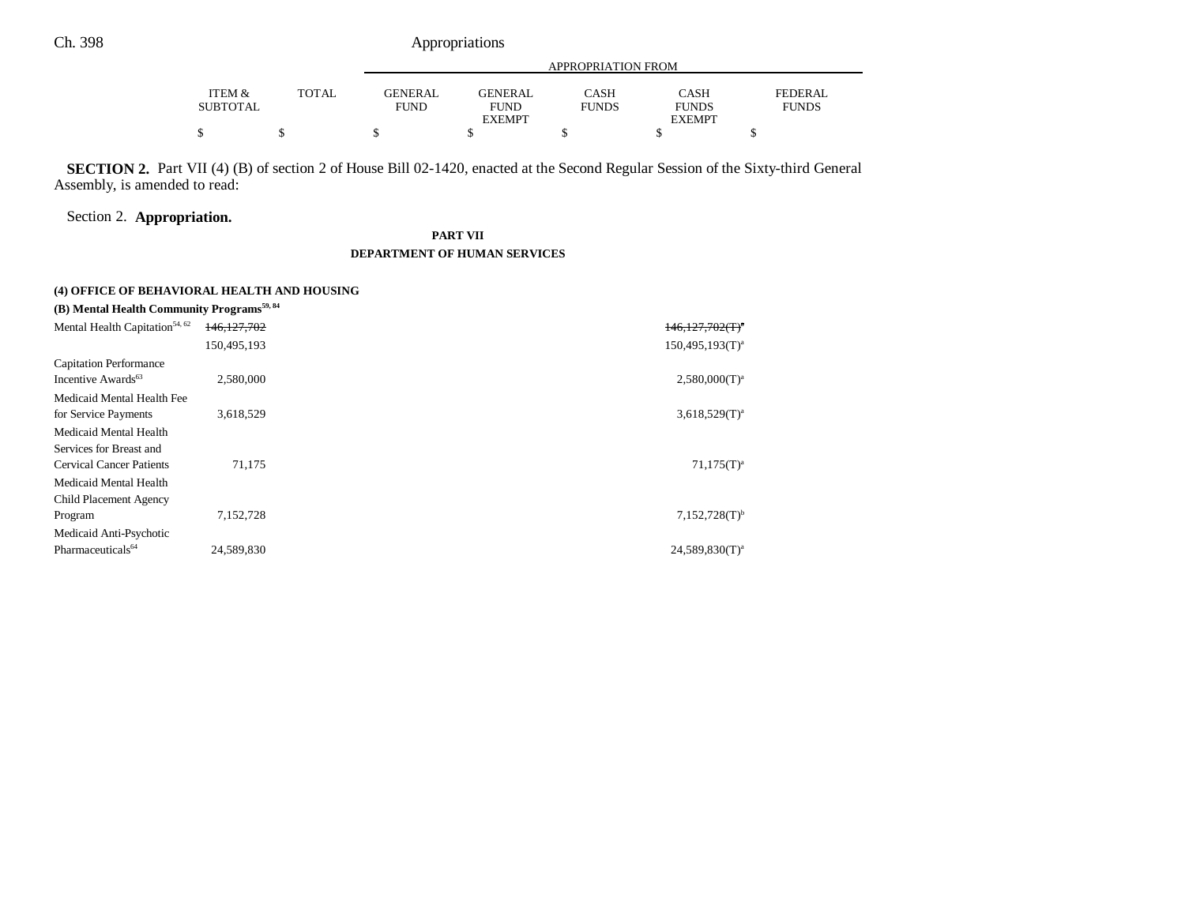Ch. 398 Appropriations

|                 |              | APPROPRIATION FROM |                |              |               |              |
|-----------------|--------------|--------------------|----------------|--------------|---------------|--------------|
|                 |              |                    |                |              |               |              |
| ITEM &          | <b>TOTAL</b> | <b>GENERAL</b>     | <b>GENERAL</b> | CASH         | <b>CASH</b>   | FEDERAL      |
| <b>SUBTOTAL</b> |              | <b>FUND</b>        | <b>FUND</b>    | <b>FUNDS</b> | <b>FUNDS</b>  | <b>FUNDS</b> |
|                 |              |                    | <b>EXEMPT</b>  |              | <b>EXEMPT</b> |              |
|                 |              |                    |                |              |               |              |

**SECTION 2.** Part VII (4) (B) of section 2 of House Bill 02-1420, enacted at the Second Regular Session of the Sixty-third General Assembly, is amended to read:

### Section 2. **Appropriation.**

### **PART VII DEPARTMENT OF HUMAN SERVICES**

#### **(4) OFFICE OF BEHAVIORAL HEALTH AND HOUSING**

| (B) Mental Health Community Programs <sup>59,84</sup> |             |                             |
|-------------------------------------------------------|-------------|-----------------------------|
| Mental Health Capitation <sup>54, 62</sup>            | 146.127.702 | $146,127,702(T)^4$          |
|                                                       | 150,495,193 | $150,495,193(T)^{a}$        |
| <b>Capitation Performance</b>                         |             |                             |
| Incentive Awards <sup>63</sup>                        | 2,580,000   | $2,580,000(T)^a$            |
| Medicaid Mental Health Fee                            |             |                             |
| for Service Payments                                  | 3,618,529   | $3,618,529(T)^a$            |
| Medicaid Mental Health                                |             |                             |
| Services for Breast and                               |             |                             |
| <b>Cervical Cancer Patients</b>                       | 71,175      | $71,175(T)^{a}$             |
| Medicaid Mental Health                                |             |                             |
| Child Placement Agency                                |             |                             |
| Program                                               | 7,152,728   | $7,152,728(T)$ <sup>b</sup> |
| Medicaid Anti-Psychotic                               |             |                             |
| Pharmaceuticals <sup>64</sup>                         | 24.589.830  | $24.589.830(T)^a$           |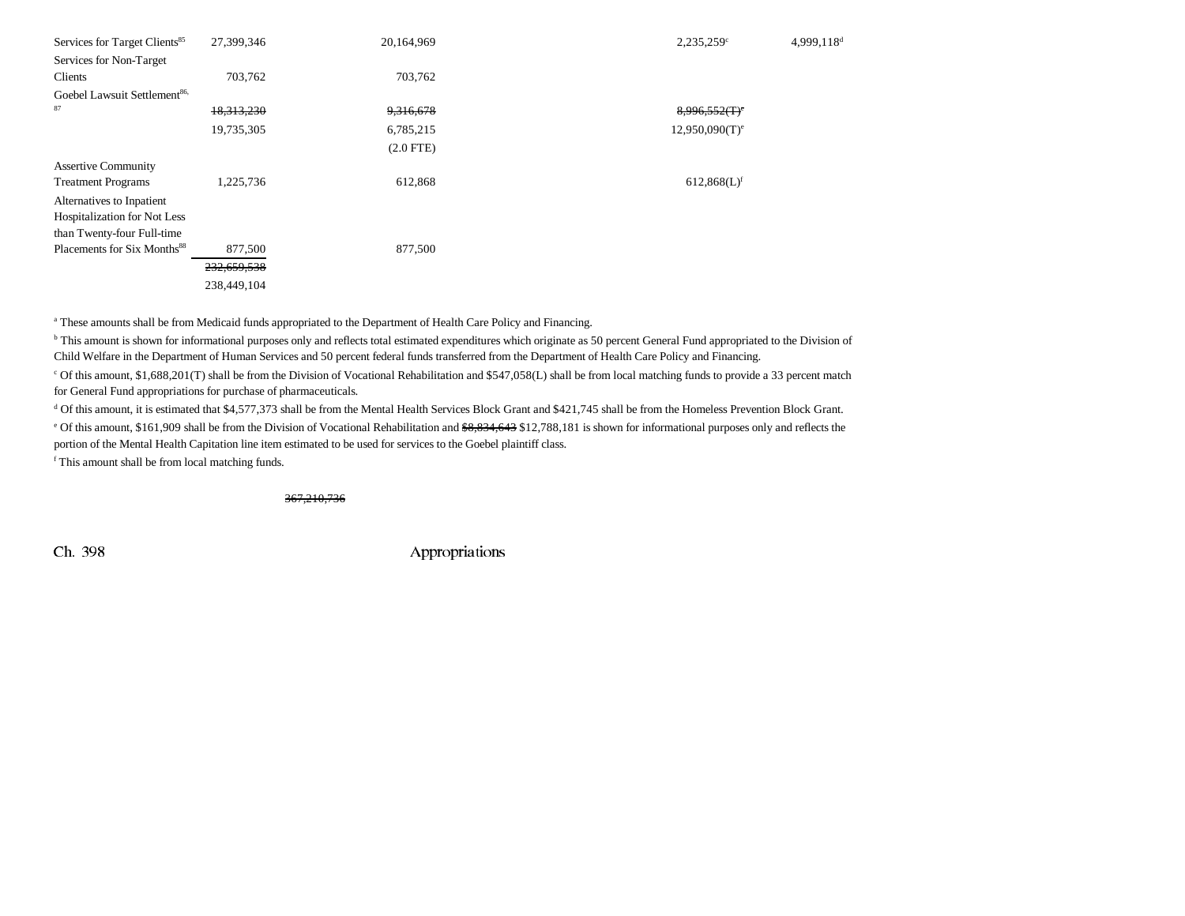| Services for Target Clients <sup>85</sup> | 27,399,346  | 20,164,969  | $2,235,259$ <sup>c</sup>     | $4,999,118$ <sup>d</sup> |
|-------------------------------------------|-------------|-------------|------------------------------|--------------------------|
| Services for Non-Target                   |             |             |                              |                          |
| Clients                                   | 703,762     | 703,762     |                              |                          |
| Goebel Lawsuit Settlement <sup>86,</sup>  |             |             |                              |                          |
| 87                                        | 18,313,230  | 9,316,678   | $8,996,552$ (T) <sup>e</sup> |                          |
|                                           | 19,735,305  | 6,785,215   | $12,950,090(T)$ <sup>e</sup> |                          |
|                                           |             | $(2.0$ FTE) |                              |                          |
| <b>Assertive Community</b>                |             |             |                              |                          |
| <b>Treatment Programs</b>                 | 1,225,736   | 612,868     | $612,868(L)$ <sup>f</sup>    |                          |
| Alternatives to Inpatient                 |             |             |                              |                          |
| Hospitalization for Not Less              |             |             |                              |                          |
| than Twenty-four Full-time                |             |             |                              |                          |
| Placements for Six Months <sup>88</sup>   | 877,500     | 877,500     |                              |                          |
|                                           | 232,659,538 |             |                              |                          |
|                                           | 238,449,104 |             |                              |                          |

<sup>a</sup> These amounts shall be from Medicaid funds appropriated to the Department of Health Care Policy and Financing.

<sup>b</sup> This amount is shown for informational purposes only and reflects total estimated expenditures which originate as 50 percent General Fund appropriated to the Division of Child Welfare in the Department of Human Services and 50 percent federal funds transferred from the Department of Health Care Policy and Financing.

c Of this amount, \$1,688,201(T) shall be from the Division of Vocational Rehabilitation and \$547,058(L) shall be from local matching funds to provide a 33 percent match for General Fund appropriations for purchase of pharmaceuticals.

d Of this amount, it is estimated that \$4,577,373 shall be from the Mental Health Services Block Grant and \$421,745 shall be from the Homeless Prevention Block Grant.

<sup>e</sup> Of this amount, \$161,909 shall be from the Division of Vocational Rehabilitation and <del>\$8,834,643</del> \$12,788,181 is shown for informational purposes only and reflects the portion of the Mental Health Capitation line item estimated to be used for services to the Goebel plaintiff class.

f This amount shall be from local matching funds.

367,210,736

Ch. 398 Appropriations